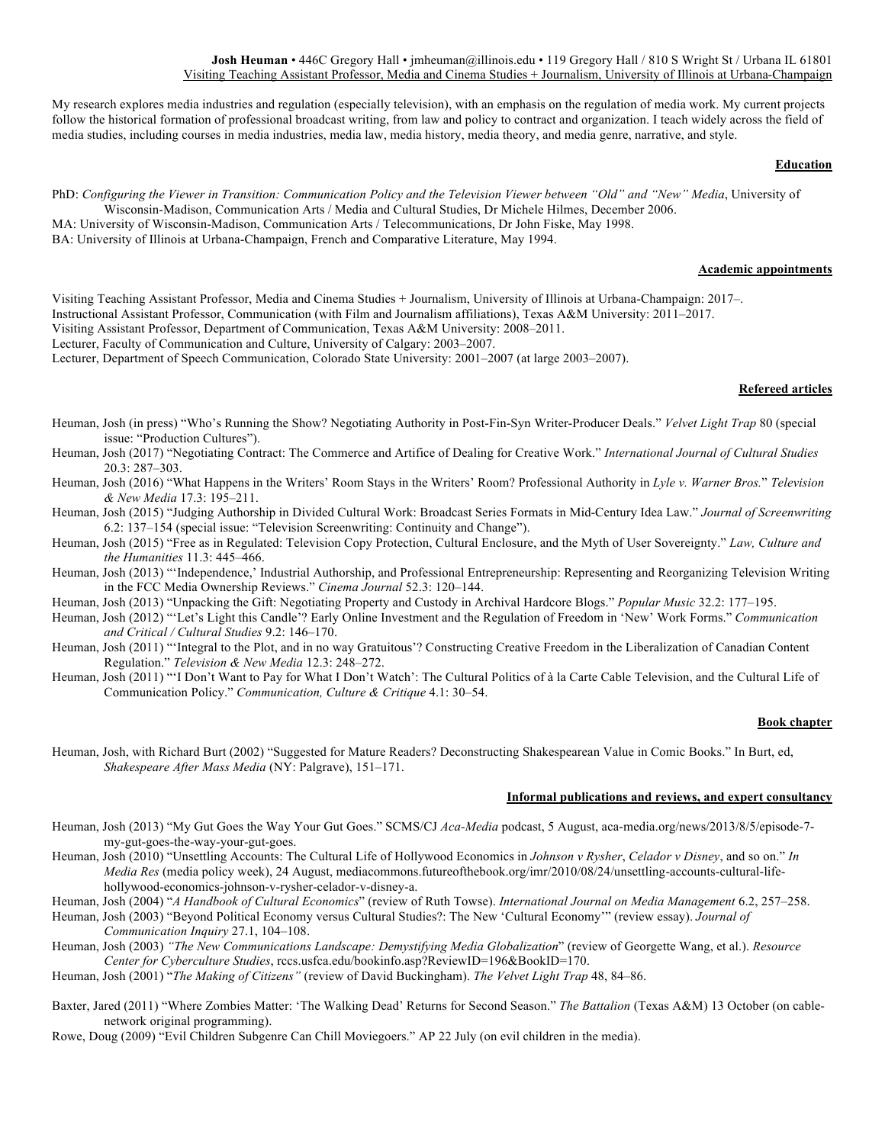My research explores media industries and regulation (especially television), with an emphasis on the regulation of media work. My current projects follow the historical formation of professional broadcast writing, from law and policy to contract and organization. I teach widely across the field of media studies, including courses in media industries, media law, media history, media theory, and media genre, narrative, and style.

# **Education**

PhD: *Configuring the Viewer in Transition: Communication Policy and the Television Viewer between "Old" and "New" Media*, University of Wisconsin-Madison, Communication Arts / Media and Cultural Studies, Dr Michele Hilmes, December 2006.

MA: University of Wisconsin-Madison, Communication Arts / Telecommunications, Dr John Fiske, May 1998.

BA: University of Illinois at Urbana-Champaign, French and Comparative Literature, May 1994.

# **Academic appointments**

Visiting Teaching Assistant Professor, Media and Cinema Studies + Journalism, University of Illinois at Urbana-Champaign: 2017–.

Instructional Assistant Professor, Communication (with Film and Journalism affiliations), Texas A&M University: 2011–2017.

Visiting Assistant Professor, Department of Communication, Texas A&M University: 2008–2011.

Lecturer, Faculty of Communication and Culture, University of Calgary: 2003–2007.

Lecturer, Department of Speech Communication, Colorado State University: 2001–2007 (at large 2003–2007).

# **Refereed articles**

- Heuman, Josh (in press) "Who's Running the Show? Negotiating Authority in Post-Fin-Syn Writer-Producer Deals." *Velvet Light Trap* 80 (special issue: "Production Cultures").
- Heuman, Josh (2017) "Negotiating Contract: The Commerce and Artifice of Dealing for Creative Work." *International Journal of Cultural Studies*  20.3: 287–303.
- Heuman, Josh (2016) "What Happens in the Writers' Room Stays in the Writers' Room? Professional Authority in *Lyle v. Warner Bros.*" *Television & New Media* 17.3: 195–211.
- Heuman, Josh (2015) "Judging Authorship in Divided Cultural Work: Broadcast Series Formats in Mid-Century Idea Law." *Journal of Screenwriting* 6.2: 137–154 (special issue: "Television Screenwriting: Continuity and Change").
- Heuman, Josh (2015) "Free as in Regulated: Television Copy Protection, Cultural Enclosure, and the Myth of User Sovereignty." *Law, Culture and the Humanities* 11.3: 445–466.
- Heuman, Josh (2013) "'Independence,' Industrial Authorship, and Professional Entrepreneurship: Representing and Reorganizing Television Writing in the FCC Media Ownership Reviews." *Cinema Journal* 52.3: 120–144.
- Heuman, Josh (2013) "Unpacking the Gift: Negotiating Property and Custody in Archival Hardcore Blogs." *Popular Music* 32.2: 177–195.
- Heuman, Josh (2012) "'Let's Light this Candle'? Early Online Investment and the Regulation of Freedom in 'New' Work Forms." *Communication and Critical / Cultural Studies* 9.2: 146–170.
- Heuman, Josh (2011) "'Integral to the Plot, and in no way Gratuitous'? Constructing Creative Freedom in the Liberalization of Canadian Content Regulation." *Television & New Media* 12.3: 248–272.
- Heuman, Josh (2011) "'I Don't Want to Pay for What I Don't Watch': The Cultural Politics of à la Carte Cable Television, and the Cultural Life of Communication Policy." *Communication, Culture & Critique* 4.1: 30–54.

#### **Book chapter**

Heuman, Josh, with Richard Burt (2002) "Suggested for Mature Readers? Deconstructing Shakespearean Value in Comic Books." In Burt, ed, *Shakespeare After Mass Media* (NY: Palgrave), 151–171.

# **Informal publications and reviews, and expert consultancy**

- Heuman, Josh (2013) "My Gut Goes the Way Your Gut Goes." SCMS/CJ *Aca-Media* podcast, 5 August, aca-media.org/news/2013/8/5/episode-7 my-gut-goes-the-way-your-gut-goes.
- Heuman, Josh (2010) "Unsettling Accounts: The Cultural Life of Hollywood Economics in *Johnson v Rysher*, *Celador v Disney*, and so on." *In Media Res* (media policy week), 24 August, mediacommons.futureofthebook.org/imr/2010/08/24/unsettling-accounts-cultural-lifehollywood-economics-johnson-v-rysher-celador-v-disney-a.

Heuman, Josh (2004) "*A Handbook of Cultural Economics*" (review of Ruth Towse). *International Journal on Media Management* 6.2, 257–258.

Heuman, Josh (2003) "Beyond Political Economy versus Cultural Studies?: The New 'Cultural Economy'" (review essay). *Journal of Communication Inquiry* 27.1, 104–108.

- Heuman, Josh (2003) *"The New Communications Landscape: Demystifying Media Globalization*" (review of Georgette Wang, et al.). *Resource Center for Cyberculture Studies*, rccs.usfca.edu/bookinfo.asp?ReviewID=196&BookID=170.
- Heuman, Josh (2001) "*The Making of Citizens"* (review of David Buckingham). *The Velvet Light Trap* 48, 84–86.
- Baxter, Jared (2011) "Where Zombies Matter: 'The Walking Dead' Returns for Second Season." *The Battalion* (Texas A&M) 13 October (on cablenetwork original programming).

Rowe, Doug (2009) "Evil Children Subgenre Can Chill Moviegoers." AP 22 July (on evil children in the media).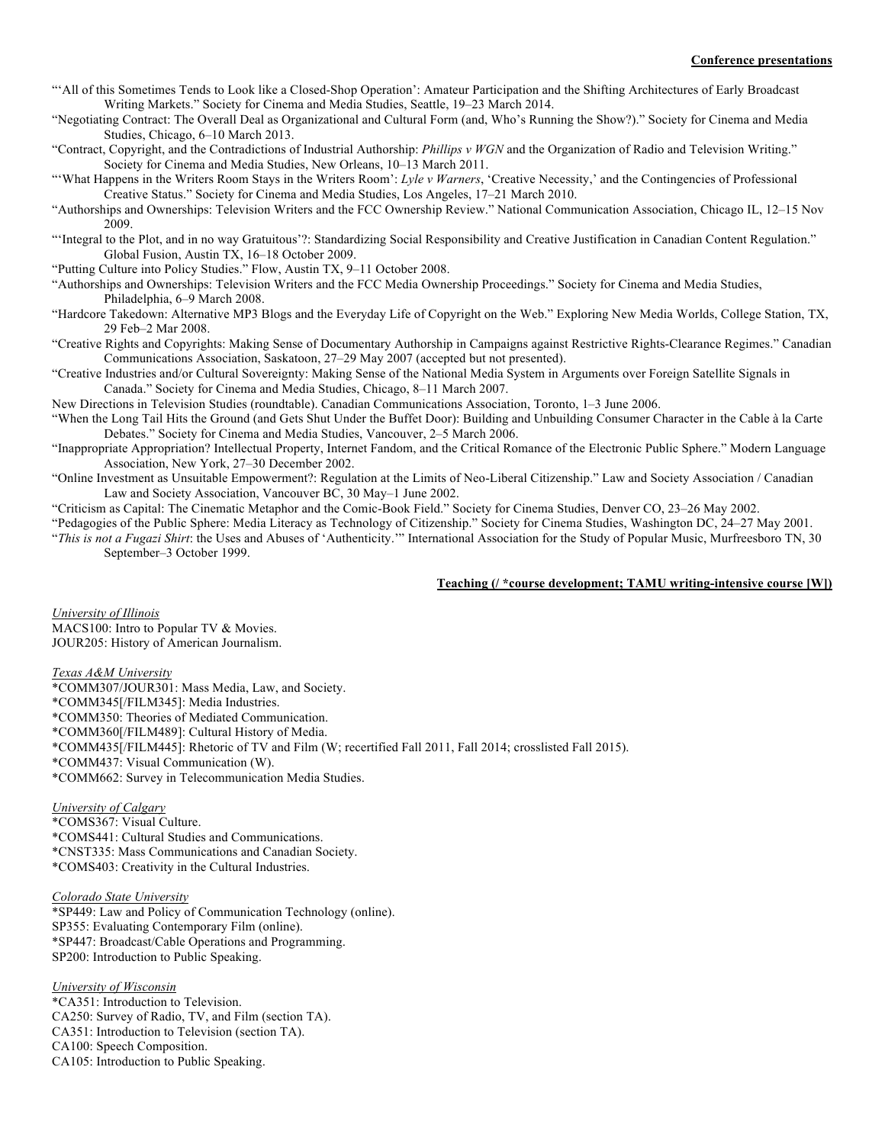- "'All of this Sometimes Tends to Look like a Closed-Shop Operation': Amateur Participation and the Shifting Architectures of Early Broadcast Writing Markets." Society for Cinema and Media Studies, Seattle, 19–23 March 2014.
- "Negotiating Contract: The Overall Deal as Organizational and Cultural Form (and, Who's Running the Show?)." Society for Cinema and Media Studies, Chicago, 6–10 March 2013.
- "Contract, Copyright, and the Contradictions of Industrial Authorship: *Phillips v WGN* and the Organization of Radio and Television Writing." Society for Cinema and Media Studies, New Orleans, 10–13 March 2011.
- "'What Happens in the Writers Room Stays in the Writers Room': *Lyle v Warners*, 'Creative Necessity,' and the Contingencies of Professional Creative Status." Society for Cinema and Media Studies, Los Angeles, 17–21 March 2010.
- "Authorships and Ownerships: Television Writers and the FCC Ownership Review." National Communication Association, Chicago IL, 12–15 Nov 2009.
- "'Integral to the Plot, and in no way Gratuitous'?: Standardizing Social Responsibility and Creative Justification in Canadian Content Regulation." Global Fusion, Austin TX, 16–18 October 2009.
- "Putting Culture into Policy Studies." Flow, Austin TX, 9–11 October 2008.
- "Authorships and Ownerships: Television Writers and the FCC Media Ownership Proceedings." Society for Cinema and Media Studies, Philadelphia, 6–9 March 2008.
- "Hardcore Takedown: Alternative MP3 Blogs and the Everyday Life of Copyright on the Web." Exploring New Media Worlds, College Station, TX, 29 Feb–2 Mar 2008.
- "Creative Rights and Copyrights: Making Sense of Documentary Authorship in Campaigns against Restrictive Rights-Clearance Regimes." Canadian Communications Association, Saskatoon, 27–29 May 2007 (accepted but not presented).
- "Creative Industries and/or Cultural Sovereignty: Making Sense of the National Media System in Arguments over Foreign Satellite Signals in Canada." Society for Cinema and Media Studies, Chicago, 8–11 March 2007.
- New Directions in Television Studies (roundtable). Canadian Communications Association, Toronto, 1–3 June 2006.
- "When the Long Tail Hits the Ground (and Gets Shut Under the Buffet Door): Building and Unbuilding Consumer Character in the Cable à la Carte Debates." Society for Cinema and Media Studies, Vancouver, 2–5 March 2006.
- "Inappropriate Appropriation? Intellectual Property, Internet Fandom, and the Critical Romance of the Electronic Public Sphere." Modern Language Association, New York, 27–30 December 2002.
- "Online Investment as Unsuitable Empowerment?: Regulation at the Limits of Neo-Liberal Citizenship." Law and Society Association / Canadian Law and Society Association, Vancouver BC, 30 May–1 June 2002.
- "Criticism as Capital: The Cinematic Metaphor and the Comic-Book Field." Society for Cinema Studies, Denver CO, 23–26 May 2002.
- "Pedagogies of the Public Sphere: Media Literacy as Technology of Citizenship." Society for Cinema Studies, Washington DC, 24–27 May 2001.
- "*This is not a Fugazi Shirt*: the Uses and Abuses of 'Authenticity.'" International Association for the Study of Popular Music, Murfreesboro TN, 30 September–3 October 1999.

# **Teaching (/ \*course development; TAMU writing-intensive course [W])**

*University of Illinois* MACS100: Intro to Popular TV & Movies. JOUR205: History of American Journalism.

#### *Texas A&M University*

\*COMM307/JOUR301: Mass Media, Law, and Society. \*COMM345[/FILM345]: Media Industries. \*COMM350: Theories of Mediated Communication. \*COMM360[/FILM489]: Cultural History of Media. \*COMM435[/FILM445]: Rhetoric of TV and Film (W; recertified Fall 2011, Fall 2014; crosslisted Fall 2015). \*COMM437: Visual Communication (W). \*COMM662: Survey in Telecommunication Media Studies.

# *University of Calgary*

\*COMS367: Visual Culture. \*COMS441: Cultural Studies and Communications. \*CNST335: Mass Communications and Canadian Society. \*COMS403: Creativity in the Cultural Industries.

# *Colorado State University*

\*SP449: Law and Policy of Communication Technology (online). SP355: Evaluating Contemporary Film (online). \*SP447: Broadcast/Cable Operations and Programming. SP200: Introduction to Public Speaking.

# *University of Wisconsin*

\*CA351: Introduction to Television. CA250: Survey of Radio, TV, and Film (section TA). CA351: Introduction to Television (section TA). CA100: Speech Composition. CA105: Introduction to Public Speaking.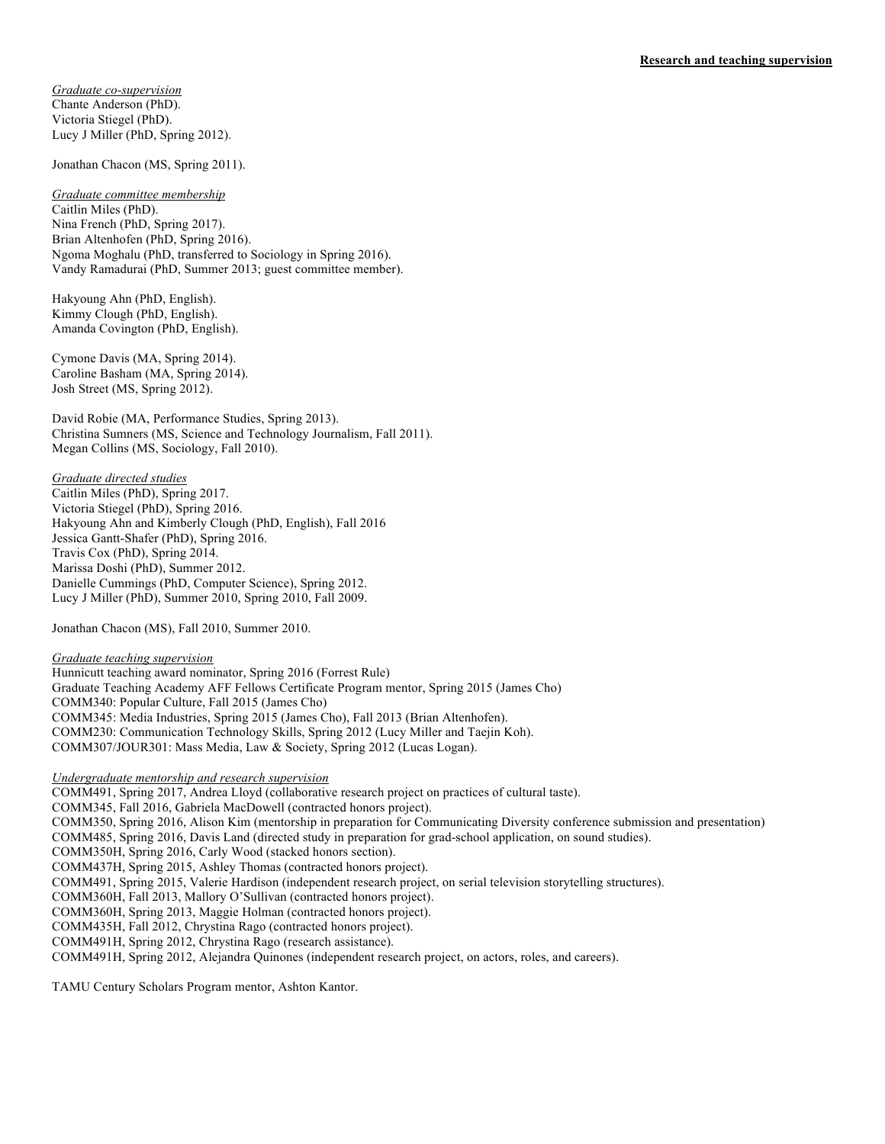*Graduate co-supervision* Chante Anderson (PhD). Victoria Stiegel (PhD). Lucy J Miller (PhD, Spring 2012).

Jonathan Chacon (MS, Spring 2011).

*Graduate committee membership* Caitlin Miles (PhD). Nina French (PhD, Spring 2017). Brian Altenhofen (PhD, Spring 2016). Ngoma Moghalu (PhD, transferred to Sociology in Spring 2016). Vandy Ramadurai (PhD, Summer 2013; guest committee member).

Hakyoung Ahn (PhD, English). Kimmy Clough (PhD, English). Amanda Covington (PhD, English).

Cymone Davis (MA, Spring 2014). Caroline Basham (MA, Spring 2014). Josh Street (MS, Spring 2012).

David Robie (MA, Performance Studies, Spring 2013). Christina Sumners (MS, Science and Technology Journalism, Fall 2011). Megan Collins (MS, Sociology, Fall 2010).

*Graduate directed studies* Caitlin Miles (PhD), Spring 2017. Victoria Stiegel (PhD), Spring 2016. Hakyoung Ahn and Kimberly Clough (PhD, English), Fall 2016 Jessica Gantt-Shafer (PhD), Spring 2016. Travis Cox (PhD), Spring 2014. Marissa Doshi (PhD), Summer 2012. Danielle Cummings (PhD, Computer Science), Spring 2012. Lucy J Miller (PhD), Summer 2010, Spring 2010, Fall 2009.

Jonathan Chacon (MS), Fall 2010, Summer 2010.

*Graduate teaching supervision*

Hunnicutt teaching award nominator, Spring 2016 (Forrest Rule) Graduate Teaching Academy AFF Fellows Certificate Program mentor, Spring 2015 (James Cho) COMM340: Popular Culture, Fall 2015 (James Cho) COMM345: Media Industries, Spring 2015 (James Cho), Fall 2013 (Brian Altenhofen). COMM230: Communication Technology Skills, Spring 2012 (Lucy Miller and Taejin Koh). COMM307/JOUR301: Mass Media, Law & Society, Spring 2012 (Lucas Logan).

# *Undergraduate mentorship and research supervision*

COMM491, Spring 2017, Andrea Lloyd (collaborative research project on practices of cultural taste). COMM345, Fall 2016, Gabriela MacDowell (contracted honors project). COMM350, Spring 2016, Alison Kim (mentorship in preparation for Communicating Diversity conference submission and presentation) COMM485, Spring 2016, Davis Land (directed study in preparation for grad-school application, on sound studies). COMM350H, Spring 2016, Carly Wood (stacked honors section). COMM437H, Spring 2015, Ashley Thomas (contracted honors project). COMM491, Spring 2015, Valerie Hardison (independent research project, on serial television storytelling structures). COMM360H, Fall 2013, Mallory O'Sullivan (contracted honors project). COMM360H, Spring 2013, Maggie Holman (contracted honors project). COMM435H, Fall 2012, Chrystina Rago (contracted honors project). COMM491H, Spring 2012, Chrystina Rago (research assistance). COMM491H, Spring 2012, Alejandra Quinones (independent research project, on actors, roles, and careers).

TAMU Century Scholars Program mentor, Ashton Kantor.